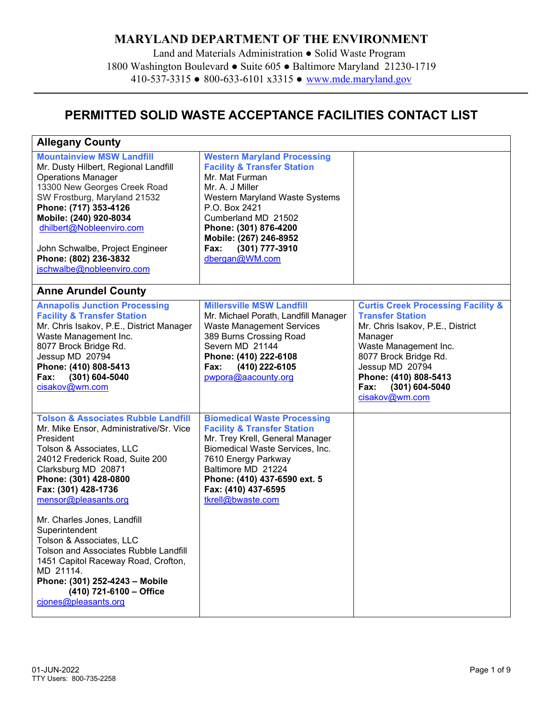## **MARYLAND DEPARTMENT OF THE ENVIRONMENT**

Land and Materials Administration ● Solid Waste Program 1800 Washington Boulevard ● Suite 605 ● Baltimore Maryland 21230-1719 410-537-3315 ● 800-633-6101 x3315 ● [www.mde.maryland.gov](http://www.mde.maryland.gov/) 

## **PERMITTED SOLID WASTE ACCEPTANCE FACILITIES CONTACT LIST**

| <b>Allegany County</b>                                                                                                                                                                                                                                                                                                                                                                                                                                                                                                                     |                                                                                                                                                                                                                                                                                            |                                                                                                                                                                                                                                                                     |
|--------------------------------------------------------------------------------------------------------------------------------------------------------------------------------------------------------------------------------------------------------------------------------------------------------------------------------------------------------------------------------------------------------------------------------------------------------------------------------------------------------------------------------------------|--------------------------------------------------------------------------------------------------------------------------------------------------------------------------------------------------------------------------------------------------------------------------------------------|---------------------------------------------------------------------------------------------------------------------------------------------------------------------------------------------------------------------------------------------------------------------|
| <b>Mountainview MSW Landfill</b><br>Mr. Dusty Hilbert, Regional Landfill<br><b>Operations Manager</b><br>13300 New Georges Creek Road<br>SW Frostburg, Maryland 21532<br>Phone: (717) 353-4126<br>Mobile: (240) 920-8034<br>dhilbert@Nobleenviro.com<br>John Schwalbe, Project Engineer<br>Phone: (802) 236-3832<br>jschwalbe@nobleenviro.com                                                                                                                                                                                              | <b>Western Maryland Processing</b><br><b>Facility &amp; Transfer Station</b><br>Mr. Mat Furman<br>Mr. A. J Miller<br>Western Maryland Waste Systems<br>P.O. Box 2421<br>Cumberland MD 21502<br>Phone: (301) 876-4200<br>Mobile: (267) 246-8952<br>(301) 777-3910<br>Fax:<br>dbergan@WM.com |                                                                                                                                                                                                                                                                     |
| <b>Anne Arundel County</b>                                                                                                                                                                                                                                                                                                                                                                                                                                                                                                                 |                                                                                                                                                                                                                                                                                            |                                                                                                                                                                                                                                                                     |
| <b>Annapolis Junction Processing</b><br><b>Facility &amp; Transfer Station</b><br>Mr. Chris Isakov, P.E., District Manager<br>Waste Management Inc.<br>8077 Brock Bridge Rd.<br>Jessup MD 20794<br>Phone: (410) 808-5413<br>(301) 604-5040<br>Fax:<br>cisakov@wm.com                                                                                                                                                                                                                                                                       | <b>Millersville MSW Landfill</b><br>Mr. Michael Porath, Landfill Manager<br><b>Waste Management Services</b><br>389 Burns Crossing Road<br>Severn MD 21144<br>Phone: (410) 222-6108<br>(410) 222-6105<br>Fax:<br>pwpora@aacounty.org                                                       | <b>Curtis Creek Processing Facility &amp;</b><br><b>Transfer Station</b><br>Mr. Chris Isakov, P.E., District<br>Manager<br>Waste Management Inc.<br>8077 Brock Bridge Rd.<br>Jessup MD 20794<br>Phone: (410) 808-5413<br>$(301)$ 604-5040<br>Fax:<br>cisakov@wm.com |
| <b>Tolson &amp; Associates Rubble Landfill</b><br>Mr. Mike Ensor, Administrative/Sr. Vice<br>President<br>Tolson & Associates, LLC<br>24012 Frederick Road, Suite 200<br>Clarksburg MD 20871<br>Phone: (301) 428-0800<br>Fax: (301) 428-1736<br>mensor@pleasants.org<br>Mr. Charles Jones, Landfill<br>Superintendent<br>Tolson & Associates, LLC<br><b>Tolson and Associates Rubble Landfill</b><br>1451 Capitol Raceway Road, Crofton,<br>MD 21114.<br>Phone: (301) 252-4243 - Mobile<br>(410) 721-6100 - Office<br>ciones@pleasants.org | <b>Biomedical Waste Processing</b><br><b>Facility &amp; Transfer Station</b><br>Mr. Trey Krell, General Manager<br>Biomedical Waste Services, Inc.<br>7610 Energy Parkway<br>Baltimore MD 21224<br>Phone: (410) 437-6590 ext. 5<br>Fax: (410) 437-6595<br>tkrell@bwaste.com                |                                                                                                                                                                                                                                                                     |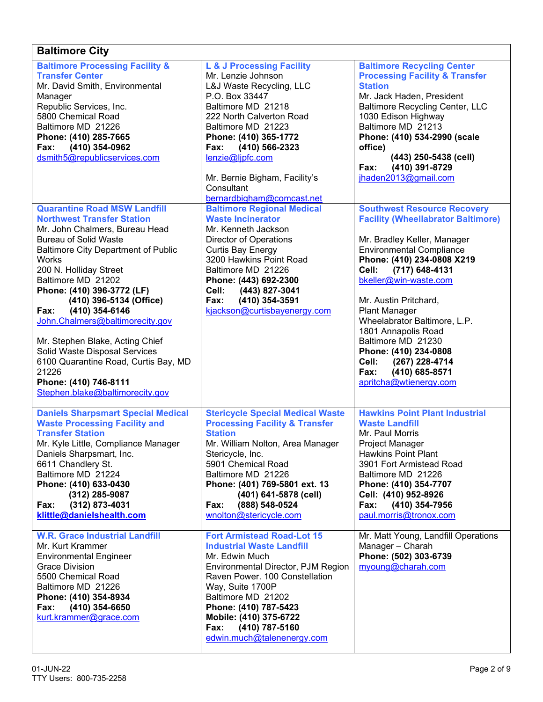| <b>Baltimore City</b>                                                                                                                                                                                                                                                                                                                                                                                                                                                                                                                                    |                                                                                                                                                                                                                                                                                                                          |                                                                                                                                                                                                                                                                                                                                                                                                                                                                           |
|----------------------------------------------------------------------------------------------------------------------------------------------------------------------------------------------------------------------------------------------------------------------------------------------------------------------------------------------------------------------------------------------------------------------------------------------------------------------------------------------------------------------------------------------------------|--------------------------------------------------------------------------------------------------------------------------------------------------------------------------------------------------------------------------------------------------------------------------------------------------------------------------|---------------------------------------------------------------------------------------------------------------------------------------------------------------------------------------------------------------------------------------------------------------------------------------------------------------------------------------------------------------------------------------------------------------------------------------------------------------------------|
| <b>Baltimore Processing Facility &amp;</b><br><b>Transfer Center</b><br>Mr. David Smith, Environmental<br>Manager<br>Republic Services, Inc.<br>5800 Chemical Road<br>Baltimore MD 21226<br>Phone: (410) 285-7665<br>(410) 354-0962<br>Fax:<br>dsmith5@republicservices.com                                                                                                                                                                                                                                                                              | L & J Processing Facility<br>Mr. Lenzie Johnson<br>L&J Waste Recycling, LLC<br>P.O. Box 33447<br>Baltimore MD 21218<br>222 North Calverton Road<br>Baltimore MD 21223<br>Phone: (410) 365-1772<br>Fax:<br>(410) 566-2323<br>lenzie@ljpfc.com<br>Mr. Bernie Bigham, Facility's<br>Consultant<br>bernardbigham@comcast.net | <b>Baltimore Recycling Center</b><br><b>Processing Facility &amp; Transfer</b><br><b>Station</b><br>Mr. Jack Haden, President<br><b>Baltimore Recycling Center, LLC</b><br>1030 Edison Highway<br>Baltimore MD 21213<br>Phone: (410) 534-2990 (scale<br>office)<br>(443) 250-5438 (cell)<br>(410) 391-8729<br>Fax:<br>jhaden2013@gmail.com                                                                                                                                |
| <b>Quarantine Road MSW Landfill</b><br><b>Northwest Transfer Station</b><br>Mr. John Chalmers, Bureau Head<br><b>Bureau of Solid Waste</b><br><b>Baltimore City Department of Public</b><br>Works<br>200 N. Holliday Street<br>Baltimore MD 21202<br>Phone: (410) 396-3772 (LF)<br>(410) 396-5134 (Office)<br>(410) 354-6146<br>Fax:<br>John.Chalmers@baltimorecity.gov<br>Mr. Stephen Blake, Acting Chief<br>Solid Waste Disposal Services<br>6100 Quarantine Road, Curtis Bay, MD<br>21226<br>Phone: (410) 746-8111<br>Stephen.blake@baltimorecity.gov | <b>Baltimore Regional Medical</b><br><b>Waste Incinerator</b><br>Mr. Kenneth Jackson<br><b>Director of Operations</b><br><b>Curtis Bay Energy</b><br>3200 Hawkins Point Road<br>Baltimore MD 21226<br>Phone: (443) 692-2300<br>(443) 827-3041<br>Cell:<br>(410) 354-3591<br>Fax:<br>kjackson@curtisbayenergy.com         | <b>Southwest Resource Recovery</b><br><b>Facility (Wheellabrator Baltimore)</b><br>Mr. Bradley Keller, Manager<br><b>Environmental Compliance</b><br>Phone: (410) 234-0808 X219<br>Cell:<br>(717) 648-4131<br>bkeller@win-waste.com<br>Mr. Austin Pritchard,<br><b>Plant Manager</b><br>Wheelabrator Baltimore, L.P.<br>1801 Annapolis Road<br>Baltimore MD 21230<br>Phone: (410) 234-0808<br>Cell:<br>(267) 228-4714<br>Fax:<br>(410) 685-8571<br>apritcha@wtienergy.com |
| <b>Daniels Sharpsmart Special Medical</b><br><b>Waste Processing Facility and</b><br><b>Transfer Station</b><br>Mr. Kyle Little, Compliance Manager<br>Daniels Sharpsmart, Inc.<br>6611 Chandlery St.<br>Baltimore MD 21224<br>Phone: (410) 633-0430<br>(312) 285-9087<br>(312) 873-4031<br>Fax:<br>klittle@danielshealth.com                                                                                                                                                                                                                            | <b>Stericycle Special Medical Waste</b><br><b>Processing Facility &amp; Transfer</b><br><b>Station</b><br>Mr. William Nolton, Area Manager<br>Stericycle, Inc.<br>5901 Chemical Road<br>Baltimore MD 21226<br>Phone: (401) 769-5801 ext. 13<br>(401) 641-5878 (cell)<br>(888) 548-0524<br>Fax:<br>wnolton@stericycle.com | <b>Hawkins Point Plant Industrial</b><br><b>Waste Landfill</b><br>Mr. Paul Morris<br><b>Project Manager</b><br><b>Hawkins Point Plant</b><br>3901 Fort Armistead Road<br>Baltimore MD 21226<br>Phone: (410) 354-7707<br>Cell: (410) 952-8926<br>Fax:<br>(410) 354-7956<br>paul.morris@tronox.com                                                                                                                                                                          |
| <b>W.R. Grace Industrial Landfill</b><br>Mr. Kurt Krammer<br><b>Environmental Engineer</b><br><b>Grace Division</b><br>5500 Chemical Road<br>Baltimore MD 21226<br>Phone: (410) 354-8934<br>(410) 354-6650<br>Fax:<br>kurt.krammer@grace.com                                                                                                                                                                                                                                                                                                             | <b>Fort Armistead Road-Lot 15</b><br><b>Industrial Waste Landfill</b><br>Mr. Edwin Much<br>Environmental Director, PJM Region<br>Raven Power. 100 Constellation<br>Way, Suite 1700P<br>Baltimore MD 21202<br>Phone: (410) 787-5423<br>Mobile: (410) 375-6722<br>(410) 787-5160<br>Fax:<br>edwin.much@talenenergy.com     | Mr. Matt Young, Landfill Operations<br>Manager - Charah<br>Phone: (502) 303-6739<br>myoung@charah.com                                                                                                                                                                                                                                                                                                                                                                     |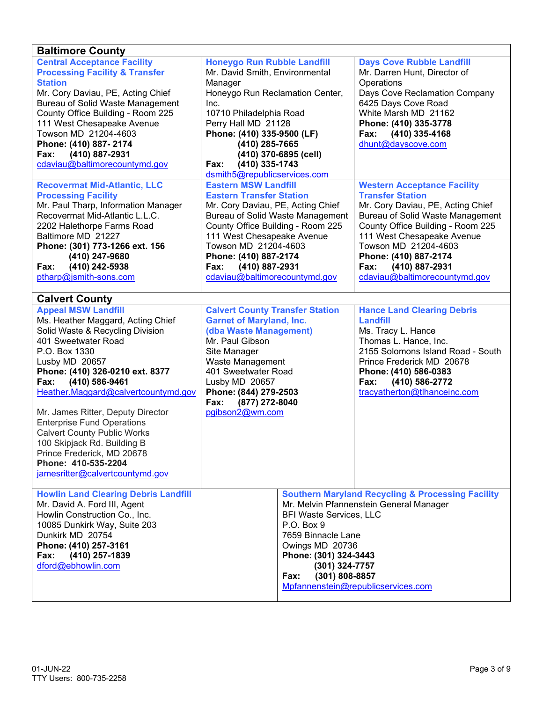| <b>Baltimore County</b>                     |                                         |                                         |                                                              |  |
|---------------------------------------------|-----------------------------------------|-----------------------------------------|--------------------------------------------------------------|--|
| <b>Central Acceptance Facility</b>          | <b>Honeygo Run Rubble Landfill</b>      |                                         | <b>Days Cove Rubble Landfill</b>                             |  |
| <b>Processing Facility &amp; Transfer</b>   | Mr. David Smith, Environmental          |                                         | Mr. Darren Hunt, Director of                                 |  |
| <b>Station</b>                              | Manager                                 |                                         | Operations                                                   |  |
| Mr. Cory Daviau, PE, Acting Chief           | Honeygo Run Reclamation Center,         |                                         | Days Cove Reclamation Company                                |  |
| <b>Bureau of Solid Waste Management</b>     | Inc.                                    |                                         | 6425 Days Cove Road                                          |  |
| County Office Building - Room 225           | 10710 Philadelphia Road                 |                                         | White Marsh MD 21162                                         |  |
| 111 West Chesapeake Avenue                  | Perry Hall MD 21128                     |                                         | Phone: (410) 335-3778                                        |  |
| Towson MD 21204-4603                        | Phone: (410) 335-9500 (LF)              |                                         | (410) 335-4168<br>Fax:                                       |  |
| Phone: (410) 887-2174                       | (410) 285-7665                          |                                         | dhunt@dayscove.com                                           |  |
| (410) 887-2931<br>Fax:                      |                                         | (410) 370-6895 (cell)                   |                                                              |  |
| cdaviau@baltimorecountymd.gov               | (410) 335-1743<br>Fax:                  |                                         |                                                              |  |
|                                             | dsmith5@republicservices.com            |                                         |                                                              |  |
| <b>Recovermat Mid-Atlantic, LLC</b>         | <b>Eastern MSW Landfill</b>             |                                         | <b>Western Acceptance Facility</b>                           |  |
| <b>Processing Facility</b>                  | <b>Eastern Transfer Station</b>         |                                         | <b>Transfer Station</b>                                      |  |
| Mr. Paul Tharp, Information Manager         | Mr. Cory Daviau, PE, Acting Chief       |                                         | Mr. Cory Daviau, PE, Acting Chief                            |  |
| Recovermat Mid-Atlantic L.L.C.              |                                         | <b>Bureau of Solid Waste Management</b> | <b>Bureau of Solid Waste Management</b>                      |  |
| 2202 Halethorpe Farms Road                  | County Office Building - Room 225       |                                         | County Office Building - Room 225                            |  |
| Baltimore MD 21227                          | 111 West Chesapeake Avenue              |                                         | 111 West Chesapeake Avenue                                   |  |
| Phone: (301) 773-1266 ext. 156              | Towson MD 21204-4603                    |                                         | Towson MD 21204-4603                                         |  |
| (410) 247-9680                              | Phone: (410) 887-2174                   |                                         | Phone: (410) 887-2174                                        |  |
| (410) 242-5938<br>Fax:                      | (410) 887-2931<br>Fax:                  |                                         | (410) 887-2931<br>Fax:                                       |  |
| ptharp@jsmith-sons.com                      | cdaviau@baltimorecountymd.gov           |                                         | cdaviau@baltimorecountymd.gov                                |  |
|                                             |                                         |                                         |                                                              |  |
| <b>Calvert County</b>                       |                                         |                                         |                                                              |  |
| <b>Appeal MSW Landfill</b>                  | <b>Calvert County Transfer Station</b>  |                                         | <b>Hance Land Clearing Debris</b>                            |  |
| Ms. Heather Maggard, Acting Chief           | <b>Garnet of Maryland, Inc.</b>         |                                         | Landfill                                                     |  |
| Solid Waste & Recycling Division            | (dba Waste Management)                  |                                         | Ms. Tracy L. Hance                                           |  |
| 401 Sweetwater Road                         | Mr. Paul Gibson                         |                                         | Thomas L. Hance, Inc.                                        |  |
| P.O. Box 1330                               | Site Manager                            |                                         | 2155 Solomons Island Road - South                            |  |
| Lusby MD 20657                              | Waste Management                        |                                         | Prince Frederick MD 20678                                    |  |
| Phone: (410) 326-0210 ext. 8377             | 401 Sweetwater Road                     |                                         | Phone: (410) 586-0383                                        |  |
| (410) 586-9461<br>Fax:                      | Lusby MD 20657                          |                                         | (410) 586-2772<br>Fax:                                       |  |
| Heather.Maggard@calvertcountymd.gov         | Phone: (844) 279-2503                   |                                         | tracyatherton@tlhanceinc.com                                 |  |
|                                             | (877) 272-8040<br>Fax:                  |                                         |                                                              |  |
| Mr. James Ritter, Deputy Director           | pgibson2@wm.com                         |                                         |                                                              |  |
| <b>Enterprise Fund Operations</b>           |                                         |                                         |                                                              |  |
| <b>Calvert County Public Works</b>          |                                         |                                         |                                                              |  |
| 100 Skipjack Rd. Building B                 |                                         |                                         |                                                              |  |
| Prince Frederick, MD 20678                  |                                         |                                         |                                                              |  |
| Phone: 410-535-2204                         |                                         |                                         |                                                              |  |
| jamesritter@calvertcountymd.gov             |                                         |                                         |                                                              |  |
|                                             |                                         |                                         |                                                              |  |
| <b>Howlin Land Clearing Debris Landfill</b> |                                         |                                         | <b>Southern Maryland Recycling &amp; Processing Facility</b> |  |
| Mr. David A. Ford III, Agent                | Mr. Melvin Pfannenstein General Manager |                                         |                                                              |  |
| Howlin Construction Co., Inc.               | <b>BFI Waste Services, LLC</b>          |                                         |                                                              |  |
| 10085 Dunkirk Way, Suite 203                | P.O. Box 9                              |                                         |                                                              |  |
| Dunkirk MD 20754                            | 7659 Binnacle Lane                      |                                         |                                                              |  |
| Phone: (410) 257-3161                       | Owings MD 20736                         |                                         |                                                              |  |
| (410) 257-1839<br>Fax:                      |                                         |                                         |                                                              |  |
| dford@ebhowlin.com                          | Phone: (301) 324-3443<br>(301) 324-7757 |                                         |                                                              |  |
|                                             | (301) 808-8857<br>Fax:                  |                                         |                                                              |  |
|                                             |                                         |                                         | Mpfannenstein@republicservices.com                           |  |
|                                             |                                         |                                         |                                                              |  |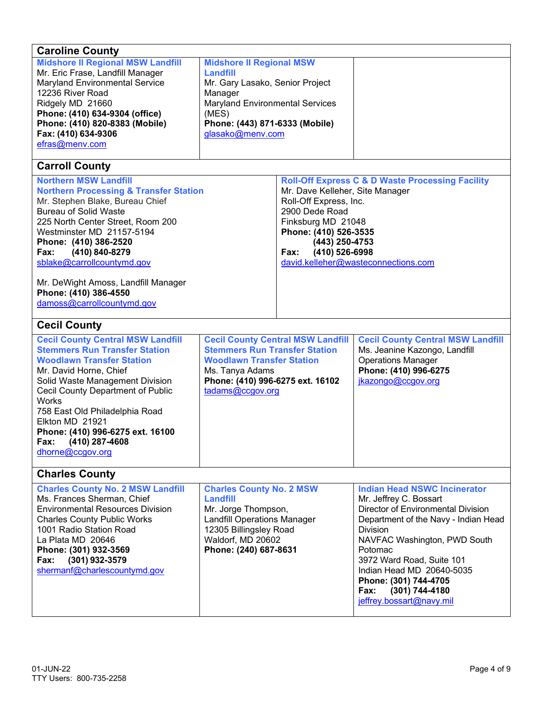| <b>Caroline County</b><br><b>Midshore II Regional MSW Landfill</b><br>Mr. Eric Frase, Landfill Manager<br><b>Maryland Environmental Service</b><br>12236 River Road<br>Ridgely MD 21660<br>Phone: (410) 634-9304 (office)<br>Phone: (410) 820-8383 (Mobile)<br>Fax: (410) 634-9306<br>efras@menv.com<br><b>Carroll County</b><br><b>Northern MSW Landfill</b>                 | <b>Midshore II Regional MSW</b><br>Landfill<br>Mr. Gary Lasako, Senior Project<br>Manager<br><b>Maryland Environmental Services</b><br>(MES)<br>Phone: (443) 871-6333 (Mobile)<br>glasako@menv.com |                                                                                                                                                                        | <b>Roll-Off Express C &amp; D Waste Processing Facility</b>                                                                                                                                                                                                                                                                                        |  |
|-------------------------------------------------------------------------------------------------------------------------------------------------------------------------------------------------------------------------------------------------------------------------------------------------------------------------------------------------------------------------------|----------------------------------------------------------------------------------------------------------------------------------------------------------------------------------------------------|------------------------------------------------------------------------------------------------------------------------------------------------------------------------|----------------------------------------------------------------------------------------------------------------------------------------------------------------------------------------------------------------------------------------------------------------------------------------------------------------------------------------------------|--|
| <b>Northern Processing &amp; Transfer Station</b><br>Mr. Stephen Blake, Bureau Chief<br><b>Bureau of Solid Waste</b><br>225 North Center Street, Room 200<br>Westminster MD 21157-5194<br>Phone: (410) 386-2520<br>(410) 840-8279<br>Fax:<br>sblake@carrollcountymd.gov<br>Mr. DeWight Amoss, Landfill Manager<br>Phone: (410) 386-4550<br>damoss@carrollcountymd.gov         |                                                                                                                                                                                                    | Mr. Dave Kelleher, Site Manager<br>Roll-Off Express, Inc.<br>2900 Dede Road<br>Finksburg MD 21048<br>Phone: (410) 526-3535<br>(443) 250-4753<br>(410) 526-6998<br>Fax: | david.kelleher@wasteconnections.com                                                                                                                                                                                                                                                                                                                |  |
| <b>Cecil County</b>                                                                                                                                                                                                                                                                                                                                                           |                                                                                                                                                                                                    |                                                                                                                                                                        |                                                                                                                                                                                                                                                                                                                                                    |  |
| <b>Cecil County Central MSW Landfill</b><br><b>Stemmers Run Transfer Station</b><br><b>Woodlawn Transfer Station</b><br>Mr. David Horne, Chief<br>Solid Waste Management Division<br>Cecil County Department of Public<br><b>Works</b><br>758 East Old Philadelphia Road<br>Elkton MD 21921<br>Phone: (410) 996-6275 ext. 16100<br>(410) 287-4608<br>Fax:<br>dhorne@ccgov.org | <b>Cecil County Central MSW Landfill</b><br><b>Stemmers Run Transfer Station</b><br><b>Woodlawn Transfer Station</b><br>Ms. Tanya Adams<br>Phone: (410) 996-6275 ext. 16102<br>tadams@ccgov.org    |                                                                                                                                                                        | <b>Cecil County Central MSW Landfill</b><br>Ms. Jeanine Kazongo, Landfill<br><b>Operations Manager</b><br>Phone: (410) 996-6275<br>jkazongo@ccgov.org                                                                                                                                                                                              |  |
| <b>Charles County</b>                                                                                                                                                                                                                                                                                                                                                         |                                                                                                                                                                                                    |                                                                                                                                                                        |                                                                                                                                                                                                                                                                                                                                                    |  |
| <b>Charles County No. 2 MSW Landfill</b><br>Ms. Frances Sherman, Chief<br><b>Environmental Resources Division</b><br><b>Charles County Public Works</b><br>1001 Radio Station Road<br>La Plata MD 20646<br>Phone: (301) 932-3569<br>(301) 932-3579<br>Fax:<br>shermanf@charlescountymd.gov                                                                                    | <b>Charles County No. 2 MSW</b><br><b>Landfill</b><br>Mr. Jorge Thompson,<br><b>Landfill Operations Manager</b><br>12305 Billingsley Road<br>Waldorf, MD 20602<br>Phone: (240) 687-8631            |                                                                                                                                                                        | <b>Indian Head NSWC Incinerator</b><br>Mr. Jeffrey C. Bossart<br>Director of Environmental Division<br>Department of the Navy - Indian Head<br><b>Division</b><br>NAVFAC Washington, PWD South<br>Potomac<br>3972 Ward Road, Suite 101<br>Indian Head MD 20640-5035<br>Phone: (301) 744-4705<br>Fax:<br>(301) 744-4180<br>jeffrey.bossart@navy.mil |  |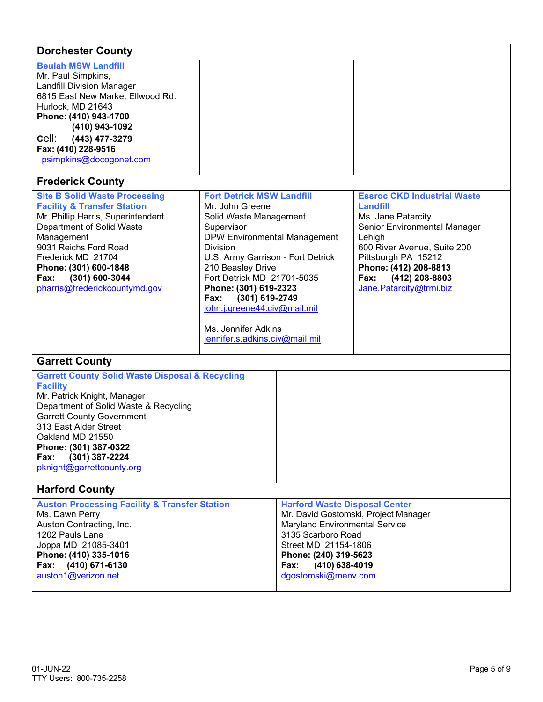| <b>Dorchester County</b>                                                                                                                                                                                                                                                                                               |                                                                                                                                                                                                                                                                                                                                                                                           |                                                                                                                                                                                                |                                                                                                                                                                                                                                                           |  |
|------------------------------------------------------------------------------------------------------------------------------------------------------------------------------------------------------------------------------------------------------------------------------------------------------------------------|-------------------------------------------------------------------------------------------------------------------------------------------------------------------------------------------------------------------------------------------------------------------------------------------------------------------------------------------------------------------------------------------|------------------------------------------------------------------------------------------------------------------------------------------------------------------------------------------------|-----------------------------------------------------------------------------------------------------------------------------------------------------------------------------------------------------------------------------------------------------------|--|
| <b>Beulah MSW Landfill</b><br>Mr. Paul Simpkins,<br><b>Landfill Division Manager</b><br>6815 East New Market Ellwood Rd.<br>Hurlock, MD 21643<br>Phone: (410) 943-1700<br>(410) 943-1092<br>cell:<br>(443) 477-3279<br>Fax: (410) 228-9516<br>psimpkins@docogonet.com                                                  |                                                                                                                                                                                                                                                                                                                                                                                           |                                                                                                                                                                                                |                                                                                                                                                                                                                                                           |  |
| <b>Frederick County</b>                                                                                                                                                                                                                                                                                                |                                                                                                                                                                                                                                                                                                                                                                                           |                                                                                                                                                                                                |                                                                                                                                                                                                                                                           |  |
| <b>Site B Solid Waste Processing</b><br><b>Facility &amp; Transfer Station</b><br>Mr. Phillip Harris, Superintendent<br>Department of Solid Waste<br>Management<br>9031 Reichs Ford Road<br>Frederick MD 21704<br>Phone: (301) 600-1848<br>(301) 600-3044<br>Fax:<br>pharris@frederickcountymd.gov                     | <b>Fort Detrick MSW Landfill</b><br>Mr. John Greene<br>Solid Waste Management<br>Supervisor<br><b>DPW Environmental Management</b><br><b>Division</b><br>U.S. Army Garrison - Fort Detrick<br>210 Beasley Drive<br>Fort Detrick MD 21701-5035<br>Phone: (301) 619-2323<br>Fax:<br>(301) 619-2749<br>john.j.greene44.civ@mail.mil<br>Ms. Jennifer Adkins<br>jennifer.s.adkins.civ@mail.mil |                                                                                                                                                                                                | <b>Essroc CKD Industrial Waste</b><br><b>Landfill</b><br>Ms. Jane Patarcity<br>Senior Environmental Manager<br>Lehigh<br>600 River Avenue, Suite 200<br>Pittsburgh PA 15212<br>Phone: (412) 208-8813<br>(412) 208-8803<br>Fax:<br>Jane.Patarcity@trmi.biz |  |
| <b>Garrett County</b>                                                                                                                                                                                                                                                                                                  |                                                                                                                                                                                                                                                                                                                                                                                           |                                                                                                                                                                                                |                                                                                                                                                                                                                                                           |  |
| <b>Garrett County Solid Waste Disposal &amp; Recycling</b><br><b>Facility</b><br>Mr. Patrick Knight, Manager<br>Department of Solid Waste & Recycling<br><b>Garrett County Government</b><br>313 East Alder Street<br>Oakland MD 21550<br>Phone: (301) 387-0322<br>(301) 387-2224<br>Fax:<br>pknight@garrettcounty.org |                                                                                                                                                                                                                                                                                                                                                                                           |                                                                                                                                                                                                |                                                                                                                                                                                                                                                           |  |
| <b>Harford County</b>                                                                                                                                                                                                                                                                                                  |                                                                                                                                                                                                                                                                                                                                                                                           |                                                                                                                                                                                                |                                                                                                                                                                                                                                                           |  |
| <b>Auston Processing Facility &amp; Transfer Station</b><br>Ms. Dawn Perry<br>Auston Contracting, Inc.<br>1202 Pauls Lane<br>Joppa MD 21085-3401<br>Phone: (410) 335-1016<br>Fax: (410) 671-6130<br>auston1@verizon.net                                                                                                |                                                                                                                                                                                                                                                                                                                                                                                           | <b>Harford Waste Disposal Center</b><br>Maryland Environmental Service<br>3135 Scarboro Road<br>Street MD 21154-1806<br>Phone: (240) 319-5623<br>(410) 638-4019<br>Fax:<br>dgostomski@menv.com | Mr. David Gostomski, Project Manager                                                                                                                                                                                                                      |  |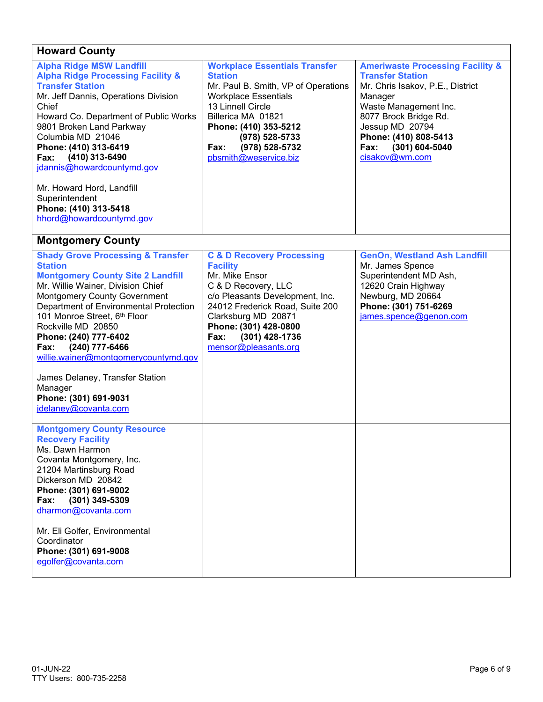## **Howard County**

| <b>Alpha Ridge MSW Landfill</b><br><b>Alpha Ridge Processing Facility &amp;</b><br><b>Transfer Station</b><br>Mr. Jeff Dannis, Operations Division<br>Chief<br>Howard Co. Department of Public Works<br>9801 Broken Land Parkway | <b>Workplace Essentials Transfer</b><br><b>Station</b><br>Mr. Paul B. Smith, VP of Operations<br><b>Workplace Essentials</b><br>13 Linnell Circle<br>Billerica MA 01821<br>Phone: (410) 353-5212 | <b>Ameriwaste Processing Facility &amp;</b><br><b>Transfer Station</b><br>Mr. Chris Isakov, P.E., District<br>Manager<br>Waste Management Inc.<br>8077 Brock Bridge Rd.<br>Jessup MD 20794 |
|----------------------------------------------------------------------------------------------------------------------------------------------------------------------------------------------------------------------------------|--------------------------------------------------------------------------------------------------------------------------------------------------------------------------------------------------|--------------------------------------------------------------------------------------------------------------------------------------------------------------------------------------------|
| Columbia MD 21046                                                                                                                                                                                                                |                                                                                                                                                                                                  | Phone: (410) 808-5413                                                                                                                                                                      |
|                                                                                                                                                                                                                                  | $(978) 528 - 5733$                                                                                                                                                                               |                                                                                                                                                                                            |
| Phone: (410) 313-6419                                                                                                                                                                                                            | (978) 528-5732<br>Fax:                                                                                                                                                                           | (301) 604-5040<br>Fax:                                                                                                                                                                     |
| (410) 313-6490<br>Fax:                                                                                                                                                                                                           | pbsmith@weservice.biz                                                                                                                                                                            | cisakov@wm.com                                                                                                                                                                             |
| jdannis@howardcountymd.gov                                                                                                                                                                                                       |                                                                                                                                                                                                  |                                                                                                                                                                                            |
|                                                                                                                                                                                                                                  |                                                                                                                                                                                                  |                                                                                                                                                                                            |
| Mr. Howard Hord, Landfill                                                                                                                                                                                                        |                                                                                                                                                                                                  |                                                                                                                                                                                            |
| Superintendent                                                                                                                                                                                                                   |                                                                                                                                                                                                  |                                                                                                                                                                                            |
| Phone: (410) 313-5418                                                                                                                                                                                                            |                                                                                                                                                                                                  |                                                                                                                                                                                            |
| hhord@howardcountymd.gov                                                                                                                                                                                                         |                                                                                                                                                                                                  |                                                                                                                                                                                            |
| <b>Montgomery County</b>                                                                                                                                                                                                         |                                                                                                                                                                                                  |                                                                                                                                                                                            |
| <b>Shady Grove Processing &amp; Transfer</b>                                                                                                                                                                                     | <b>C &amp; D Recovery Processing</b>                                                                                                                                                             | <b>GenOn, Westland Ash Landfill</b>                                                                                                                                                        |
| <b>Station</b>                                                                                                                                                                                                                   | <b>Facility</b>                                                                                                                                                                                  | Mr. James Spence                                                                                                                                                                           |
| <b>Montgomery County Site 2 Landfill</b>                                                                                                                                                                                         | Mr. Mike Ensor                                                                                                                                                                                   | Superintendent MD Ash,                                                                                                                                                                     |
| Mr. Willie Wainer, Division Chief                                                                                                                                                                                                | C & D Recovery, LLC                                                                                                                                                                              | 12620 Crain Highway                                                                                                                                                                        |
| <b>Montgomery County Government</b>                                                                                                                                                                                              | c/o Pleasants Development, Inc.                                                                                                                                                                  | Newburg, MD 20664                                                                                                                                                                          |
| Department of Environmental Protection                                                                                                                                                                                           | 24012 Frederick Road, Suite 200                                                                                                                                                                  | Phone: (301) 751-6269                                                                                                                                                                      |
| 101 Monroe Street, 6th Floor                                                                                                                                                                                                     | Clarksburg MD 20871                                                                                                                                                                              | james.spence@genon.com                                                                                                                                                                     |
| Rockville MD 20850                                                                                                                                                                                                               | Phone: (301) 428-0800                                                                                                                                                                            |                                                                                                                                                                                            |
| Phone: (240) 777-6402                                                                                                                                                                                                            | (301) 428-1736<br>Fax:                                                                                                                                                                           |                                                                                                                                                                                            |
| (240) 777-6466<br>Fax:                                                                                                                                                                                                           | mensor@pleasants.org                                                                                                                                                                             |                                                                                                                                                                                            |
| willie.wainer@montgomerycountymd.gov                                                                                                                                                                                             |                                                                                                                                                                                                  |                                                                                                                                                                                            |
|                                                                                                                                                                                                                                  |                                                                                                                                                                                                  |                                                                                                                                                                                            |
| James Delaney, Transfer Station                                                                                                                                                                                                  |                                                                                                                                                                                                  |                                                                                                                                                                                            |
| Manager                                                                                                                                                                                                                          |                                                                                                                                                                                                  |                                                                                                                                                                                            |
| Phone: (301) 691-9031                                                                                                                                                                                                            |                                                                                                                                                                                                  |                                                                                                                                                                                            |
| jdelaney@covanta.com                                                                                                                                                                                                             |                                                                                                                                                                                                  |                                                                                                                                                                                            |
|                                                                                                                                                                                                                                  |                                                                                                                                                                                                  |                                                                                                                                                                                            |
| <b>Montgomery County Resource</b>                                                                                                                                                                                                |                                                                                                                                                                                                  |                                                                                                                                                                                            |
| <b>Recovery Facility</b>                                                                                                                                                                                                         |                                                                                                                                                                                                  |                                                                                                                                                                                            |
| Ms. Dawn Harmon                                                                                                                                                                                                                  |                                                                                                                                                                                                  |                                                                                                                                                                                            |
| Covanta Montgomery, Inc.                                                                                                                                                                                                         |                                                                                                                                                                                                  |                                                                                                                                                                                            |
| 21204 Martinsburg Road                                                                                                                                                                                                           |                                                                                                                                                                                                  |                                                                                                                                                                                            |
| Dickerson MD 20842                                                                                                                                                                                                               |                                                                                                                                                                                                  |                                                                                                                                                                                            |
| Phone: (301) 691-9002                                                                                                                                                                                                            |                                                                                                                                                                                                  |                                                                                                                                                                                            |
| Fax:<br>$(301)$ 349-5309                                                                                                                                                                                                         |                                                                                                                                                                                                  |                                                                                                                                                                                            |
| dharmon@covanta.com                                                                                                                                                                                                              |                                                                                                                                                                                                  |                                                                                                                                                                                            |
|                                                                                                                                                                                                                                  |                                                                                                                                                                                                  |                                                                                                                                                                                            |
| Mr. Eli Golfer, Environmental                                                                                                                                                                                                    |                                                                                                                                                                                                  |                                                                                                                                                                                            |
| Coordinator                                                                                                                                                                                                                      |                                                                                                                                                                                                  |                                                                                                                                                                                            |
| Phone: (301) 691-9008                                                                                                                                                                                                            |                                                                                                                                                                                                  |                                                                                                                                                                                            |
| egolfer@covanta.com                                                                                                                                                                                                              |                                                                                                                                                                                                  |                                                                                                                                                                                            |
|                                                                                                                                                                                                                                  |                                                                                                                                                                                                  |                                                                                                                                                                                            |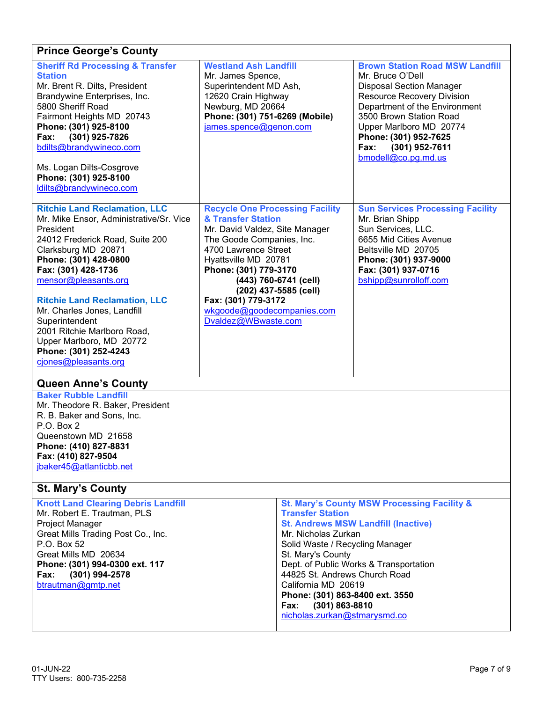| <b>Prince George's County</b>                                                                                                                                                                                                                                                                                                                                                                                                       |                                                                                                                                                                                                                                                                                                                                    |  |                                                                                                                                                                                                                                                                                                                                                                                                    |  |
|-------------------------------------------------------------------------------------------------------------------------------------------------------------------------------------------------------------------------------------------------------------------------------------------------------------------------------------------------------------------------------------------------------------------------------------|------------------------------------------------------------------------------------------------------------------------------------------------------------------------------------------------------------------------------------------------------------------------------------------------------------------------------------|--|----------------------------------------------------------------------------------------------------------------------------------------------------------------------------------------------------------------------------------------------------------------------------------------------------------------------------------------------------------------------------------------------------|--|
| <b>Sheriff Rd Processing &amp; Transfer</b><br><b>Station</b><br>Mr. Brent R. Dilts, President<br>Brandywine Enterprises, Inc.<br>5800 Sheriff Road<br>Fairmont Heights MD 20743<br>Phone: (301) 925-8100<br>Fax:<br>(301) 925-7826<br>bdilts@brandywineco.com<br>Ms. Logan Dilts-Cosgrove<br>Phone: (301) 925-8100<br>ldilts@brandywineco.com                                                                                      | <b>Westland Ash Landfill</b><br>Mr. James Spence,<br>Superintendent MD Ash,<br>12620 Crain Highway<br>Newburg, MD 20664<br>Phone: (301) 751-6269 (Mobile)<br>james.spence@genon.com                                                                                                                                                |  | <b>Brown Station Road MSW Landfill</b><br>Mr. Bruce O'Dell<br><b>Disposal Section Manager</b><br><b>Resource Recovery Division</b><br>Department of the Environment<br>3500 Brown Station Road<br>Upper Marlboro MD 20774<br>Phone: (301) 952-7625<br>(301) 952-7611<br>Fax:<br>bmodell@co.pg.md.us                                                                                                |  |
| <b>Ritchie Land Reclamation, LLC</b><br>Mr. Mike Ensor, Administrative/Sr. Vice<br>President<br>24012 Frederick Road, Suite 200<br>Clarksburg MD 20871<br>Phone: (301) 428-0800<br>Fax: (301) 428-1736<br>mensor@pleasants.org<br><b>Ritchie Land Reclamation, LLC</b><br>Mr. Charles Jones, Landfill<br>Superintendent<br>2001 Ritchie Marlboro Road,<br>Upper Marlboro, MD 20772<br>Phone: (301) 252-4243<br>ciones@pleasants.org | <b>Recycle One Processing Facility</b><br>& Transfer Station<br>Mr. David Valdez, Site Manager<br>The Goode Companies, Inc.<br>4700 Lawrence Street<br>Hyattsville MD 20781<br>Phone: (301) 779-3170<br>(443) 760-6741 (cell)<br>(202) 437-5585 (cell)<br>Fax: (301) 779-3172<br>wkgoode@goodecompanies.com<br>Dvaldez@WBwaste.com |  | <b>Sun Services Processing Facility</b><br>Mr. Brian Shipp<br>Sun Services, LLC.<br>6655 Mid Cities Avenue<br>Beltsville MD 20705<br>Phone: (301) 937-9000<br>Fax: (301) 937-0716<br>bshipp@sunrolloff.com                                                                                                                                                                                         |  |
| <b>Queen Anne's County</b>                                                                                                                                                                                                                                                                                                                                                                                                          |                                                                                                                                                                                                                                                                                                                                    |  |                                                                                                                                                                                                                                                                                                                                                                                                    |  |
| <b>Baker Rubble Landfill</b><br>Mr. Theodore R. Baker, President<br>R. B. Baker and Sons, Inc.<br>P.O. Box 2<br>Queenstown MD 21658<br>Phone: (410) 827-8831<br>Fax: (410) 827-9504<br>jbaker45@atlanticbb.net                                                                                                                                                                                                                      |                                                                                                                                                                                                                                                                                                                                    |  |                                                                                                                                                                                                                                                                                                                                                                                                    |  |
| <b>St. Mary's County</b>                                                                                                                                                                                                                                                                                                                                                                                                            |                                                                                                                                                                                                                                                                                                                                    |  |                                                                                                                                                                                                                                                                                                                                                                                                    |  |
| <b>Knott Land Clearing Debris Landfill</b><br>Mr. Robert E. Trautman, PLS<br>Project Manager<br>Great Mills Trading Post Co., Inc.<br>P.O. Box 52<br>Great Mills MD 20634<br>Phone: (301) 994-0300 ext. 117<br>(301) 994-2578<br>Fax:<br>btrautman@gmtp.net                                                                                                                                                                         |                                                                                                                                                                                                                                                                                                                                    |  | St. Mary's County MSW Processing Facility &<br><b>Transfer Station</b><br><b>St. Andrews MSW Landfill (Inactive)</b><br>Mr. Nicholas Zurkan<br>Solid Waste / Recycling Manager<br>St. Mary's County<br>Dept. of Public Works & Transportation<br>44825 St. Andrews Church Road<br>California MD 20619<br>Phone: (301) 863-8400 ext. 3550<br>(301) 863-8810<br>Fax:<br>nicholas.zurkan@stmarysmd.co |  |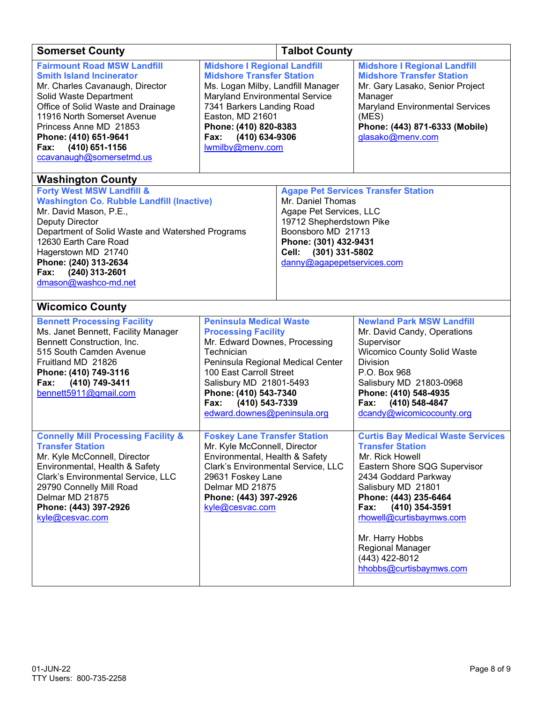| <b>Somerset County</b>                                                                                                                                                                                                                                                                                                                           | <b>Talbot County</b>                                                                                                                                                                                                                                                                     |  |                                                                                                                                                                                                                                                                                                                                         |  |
|--------------------------------------------------------------------------------------------------------------------------------------------------------------------------------------------------------------------------------------------------------------------------------------------------------------------------------------------------|------------------------------------------------------------------------------------------------------------------------------------------------------------------------------------------------------------------------------------------------------------------------------------------|--|-----------------------------------------------------------------------------------------------------------------------------------------------------------------------------------------------------------------------------------------------------------------------------------------------------------------------------------------|--|
| <b>Fairmount Road MSW Landfill</b><br><b>Smith Island Incinerator</b><br>Mr. Charles Cavanaugh, Director<br>Solid Waste Department<br>Office of Solid Waste and Drainage<br>11916 North Somerset Avenue<br>Princess Anne MD 21853<br>Phone: (410) 651-9641<br>(410) 651-1156<br>Fax:<br>ccavanaugh@somersetmd.us                                 | <b>Midshore I Regional Landfill</b><br><b>Midshore Transfer Station</b><br>Ms. Logan Milby, Landfill Manager<br>Maryland Environmental Service<br>7341 Barkers Landing Road<br>Easton, MD 21601<br>Phone: (410) 820-8383<br>(410) 634-9306<br>Fax:<br>lwmilby@menv.com                   |  | <b>Midshore I Regional Landfill</b><br><b>Midshore Transfer Station</b><br>Mr. Gary Lasako, Senior Project<br>Manager<br><b>Maryland Environmental Services</b><br>(MES)<br>Phone: (443) 871-6333 (Mobile)<br>glasako@menv.com                                                                                                          |  |
| <b>Washington County</b><br><b>Forty West MSW Landfill &amp;</b><br><b>Washington Co. Rubble Landfill (Inactive)</b><br>Mr. David Mason, P.E.,<br>Deputy Director<br>Department of Solid Waste and Watershed Programs<br>12630 Earth Care Road<br>Hagerstown MD 21740<br>Phone: (240) 313-2634<br>(240) 313-2601<br>Fax:<br>dmason@washco-md.net | Mr. Daniel Thomas<br>Agape Pet Services, LLC<br>19712 Shepherdstown Pike<br>Boonsboro MD 21713<br>Phone: (301) 432-9431<br>Cell: (301) 331-5802<br>danny@agapepetservices.com                                                                                                            |  | <b>Agape Pet Services Transfer Station</b>                                                                                                                                                                                                                                                                                              |  |
| <b>Wicomico County</b><br><b>Bennett Processing Facility</b><br>Ms. Janet Bennett, Facility Manager<br>Bennett Construction, Inc.<br>515 South Camden Avenue<br>Fruitland MD 21826<br>Phone: (410) 749-3116<br>(410) 749-3411<br>Fax:<br>bennett5911@gmail.com                                                                                   | <b>Peninsula Medical Waste</b><br><b>Processing Facility</b><br>Mr. Edward Downes, Processing<br>Technician<br>Peninsula Regional Medical Center<br>100 East Carroll Street<br>Salisbury MD 21801-5493<br>Phone: (410) 543-7340<br>(410) 543-7339<br>Fax:<br>edward.downes@peninsula.org |  | <b>Newland Park MSW Landfill</b><br>Mr. David Candy, Operations<br>Supervisor<br>Wicomico County Solid Waste<br><b>Division</b><br>P.O. Box 968<br>Salisbury MD 21803-0968<br>Phone: (410) 548-4935<br>(410) 548-4847<br>Fax:<br>dcandy@wicomicocounty.org                                                                              |  |
| <b>Connelly Mill Processing Facility &amp;</b><br><b>Transfer Station</b><br>Mr. Kyle McConnell, Director<br>Environmental, Health & Safety<br>Clark's Environmental Service, LLC<br>29790 Connelly Mill Road<br>Delmar MD 21875<br>Phone: (443) 397-2926<br>kyle@cesvac.com                                                                     | <b>Foskey Lane Transfer Station</b><br>Mr. Kyle McConnell, Director<br>Environmental, Health & Safety<br>Clark's Environmental Service, LLC<br>29631 Foskey Lane<br>Delmar MD 21875<br>Phone: (443) 397-2926<br>kyle@cesvac.com                                                          |  | <b>Curtis Bay Medical Waste Services</b><br><b>Transfer Station</b><br>Mr. Rick Howell<br>Eastern Shore SQG Supervisor<br>2434 Goddard Parkway<br>Salisbury MD 21801<br>Phone: (443) 235-6464<br>Fax:<br>(410) 354-3591<br>rhowell@curtisbaymws.com<br>Mr. Harry Hobbs<br>Regional Manager<br>(443) 422-8012<br>hhobbs@curtisbaymws.com |  |